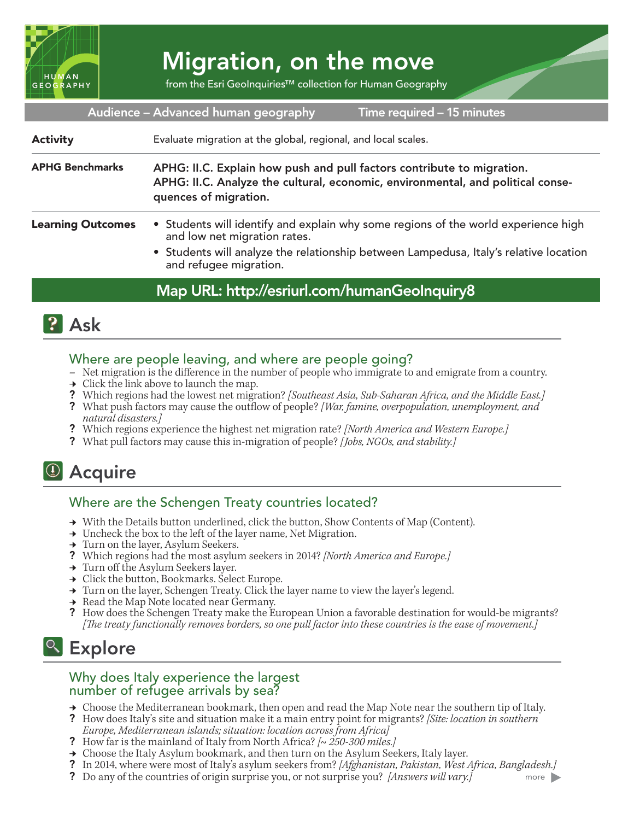

# Migration, on the move

from the Esri GeoInquiries™ collection for Human Geography

Audience – Advanced human geography

Time required – 15 minutes

Evaluate migration at the global, regional, and local scales. Activity

APHG: II.C. Explain how push and pull factors contribute to migration. APHG: II.C. Analyze the cultural, economic, environmental, and political consequences of migration. APHG Benchmarks

- Students will identify and explain why some regions of the world experience high and low net migration rates. Learning Outcomes
	- Students will analyze the relationship between Lampedusa, Italy's relative location and refugee migration.

### Map URL: http://esriurl.com/humanGeoInquiry8



### Where are people leaving, and where are people going?

- **–** Net migration is the difference in the number of people who immigrate to and emigrate from a country.
- $\rightarrow$  Click the link above to launch the map.
- ? Which regions had the lowest net migration? *[Southeast Asia, Sub-Saharan Africa, and the Middle East.]*
- ? What push factors may cause the outflow of people? *[War, famine, overpopulation, unemployment, and natural disasters.]*
- ? Which regions experience the highest net migration rate? *[North America and Western Europe.]*
- ? What pull factors may cause this in-migration of people? *[Jobs, NGOs, and stability.]*

## <sup>4</sup> Acquire

### Where are the Schengen Treaty countries located?

- → With the Details button underlined, click the button, Show Contents of Map (Content).
- $\rightarrow$  Uncheck the box to the left of the layer name, Net Migration.
- **→** Turn on the layer, Asylum Seekers.
- ? Which regions had the most asylum seekers in 2014? *[North America and Europe.]*
- → Turn off the Asylum Seekers layer.
- **→** Click the button, Bookmarks. Select Europe.
- → Turn on the layer, Schengen Treaty. Click the layer name to view the layer's legend.
- **→** Read the Map Note located near Germany.
- ? How does the Schengen Treaty make the European Union a favorable destination for would-be migrants? *[The treaty functionally removes borders, so one pull factor into these countries is the ease of movement.]*

## <sup>Q</sup> Explore

#### Why does Italy experience the largest number of refugee arrivals by sea?

- **→** Choose the Mediterranean bookmark, then open and read the Map Note near the southern tip of Italy.
- ? How does Italy's site and situation make it a main entry point for migrants? *[Site: location in southern Europe, Mediterranean islands; situation: location across from Africa]*
- ? How far is the mainland of Italy from North Africa? *[~ 250-300 miles.]*
- **→** Choose the Italy Asylum bookmark, and then turn on the Asylum Seekers, Italy layer.
- ? In 2014, where were most of Italy's asylum seekers from? *[Afghanistan, Pakistan, West Africa, Bangladesh.]* more
- ? Do any of the countries of origin surprise you, or not surprise you? *[Answers will vary.]*